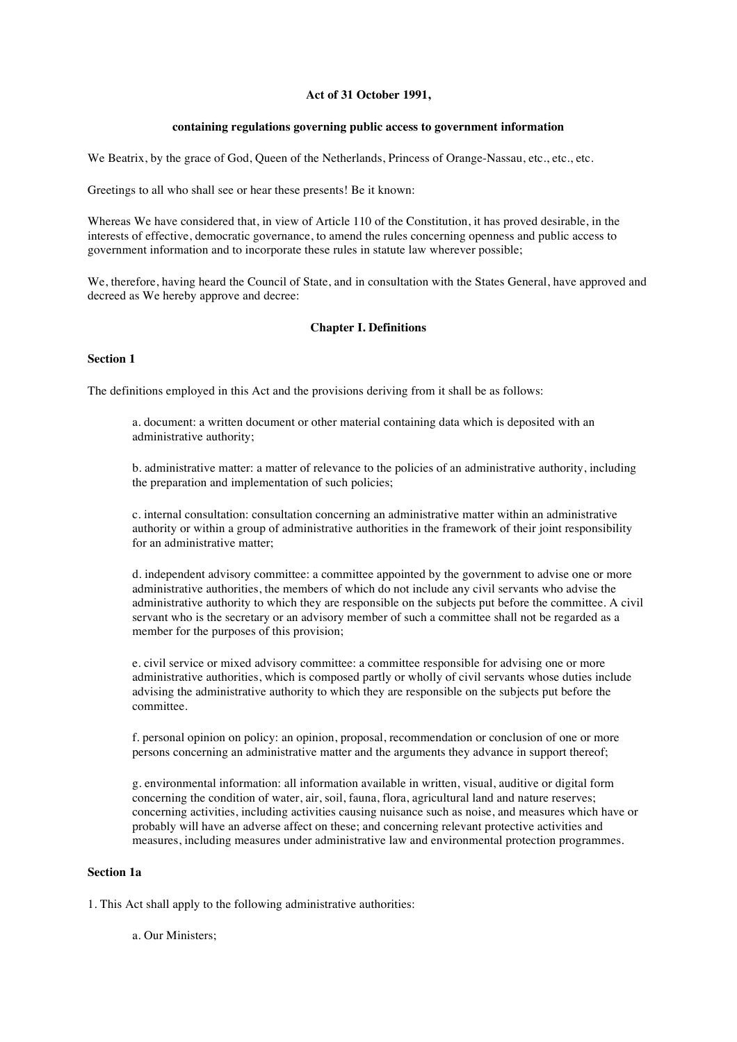### **Act of 31 October 1991,**

# **containing regulations governing public access to government information**

We Beatrix, by the grace of God, Queen of the Netherlands, Princess of Orange-Nassau, etc., etc., etc.

Greetings to all who shall see or hear these presents! Be it known:

Whereas We have considered that, in view of Article 110 of the Constitution, it has proved desirable, in the interests of effective, democratic governance, to amend the rules concerning openness and public access to government information and to incorporate these rules in statute law wherever possible;

We, therefore, having heard the Council of State, and in consultation with the States General, have approved and decreed as We hereby approve and decree:

# **Chapter I. Definitions**

# **Section 1**

The definitions employed in this Act and the provisions deriving from it shall be as follows:

a. document: a written document or other material containing data which is deposited with an administrative authority;

b. administrative matter: a matter of relevance to the policies of an administrative authority, including the preparation and implementation of such policies;

c. internal consultation: consultation concerning an administrative matter within an administrative authority or within a group of administrative authorities in the framework of their joint responsibility for an administrative matter;

d. independent advisory committee: a committee appointed by the government to advise one or more administrative authorities, the members of which do not include any civil servants who advise the administrative authority to which they are responsible on the subjects put before the committee. A civil servant who is the secretary or an advisory member of such a committee shall not be regarded as a member for the purposes of this provision;

e. civil service or mixed advisory committee: a committee responsible for advising one or more administrative authorities, which is composed partly or wholly of civil servants whose duties include advising the administrative authority to which they are responsible on the subjects put before the committee.

f. personal opinion on policy: an opinion, proposal, recommendation or conclusion of one or more persons concerning an administrative matter and the arguments they advance in support thereof;

g. environmental information: all information available in written, visual, auditive or digital form concerning the condition of water, air, soil, fauna, flora, agricultural land and nature reserves; concerning activities, including activities causing nuisance such as noise, and measures which have or probably will have an adverse affect on these; and concerning relevant protective activities and measures, including measures under administrative law and environmental protection programmes.

# **Section 1a**

1. This Act shall apply to the following administrative authorities:

a. Our Ministers;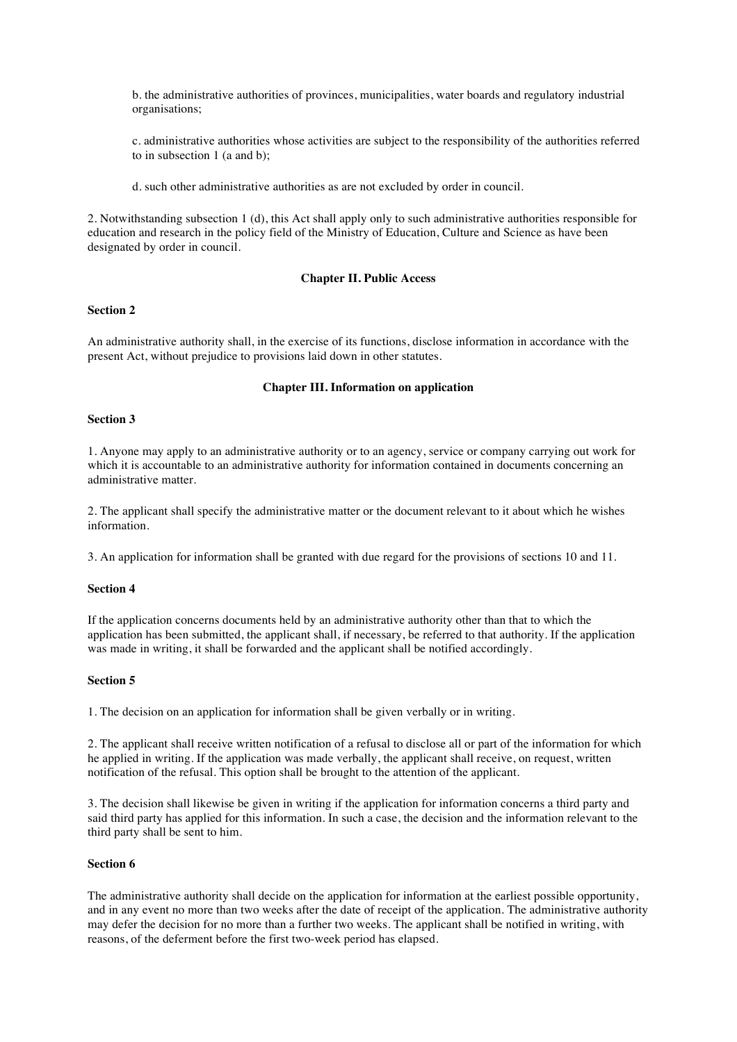b. the administrative authorities of provinces, municipalities, water boards and regulatory industrial organisations;

c. administrative authorities whose activities are subject to the responsibility of the authorities referred to in subsection 1 (a and b);

d. such other administrative authorities as are not excluded by order in council.

2. Notwithstanding subsection 1 (d), this Act shall apply only to such administrative authorities responsible for education and research in the policy field of the Ministry of Education, Culture and Science as have been designated by order in council.

# **Chapter II. Public Access**

# **Section 2**

An administrative authority shall, in the exercise of its functions, disclose information in accordance with the present Act, without prejudice to provisions laid down in other statutes.

# **Chapter III. Information on application**

## **Section 3**

1. Anyone may apply to an administrative authority or to an agency, service or company carrying out work for which it is accountable to an administrative authority for information contained in documents concerning an administrative matter.

2. The applicant shall specify the administrative matter or the document relevant to it about which he wishes information.

3. An application for information shall be granted with due regard for the provisions of sections 10 and 11.

### **Section 4**

If the application concerns documents held by an administrative authority other than that to which the application has been submitted, the applicant shall, if necessary, be referred to that authority. If the application was made in writing, it shall be forwarded and the applicant shall be notified accordingly.

#### **Section 5**

1. The decision on an application for information shall be given verbally or in writing.

2. The applicant shall receive written notification of a refusal to disclose all or part of the information for which he applied in writing. If the application was made verbally, the applicant shall receive, on request, written notification of the refusal. This option shall be brought to the attention of the applicant.

3. The decision shall likewise be given in writing if the application for information concerns a third party and said third party has applied for this information. In such a case, the decision and the information relevant to the third party shall be sent to him.

#### **Section 6**

The administrative authority shall decide on the application for information at the earliest possible opportunity, and in any event no more than two weeks after the date of receipt of the application. The administrative authority may defer the decision for no more than a further two weeks. The applicant shall be notified in writing, with reasons, of the deferment before the first two-week period has elapsed.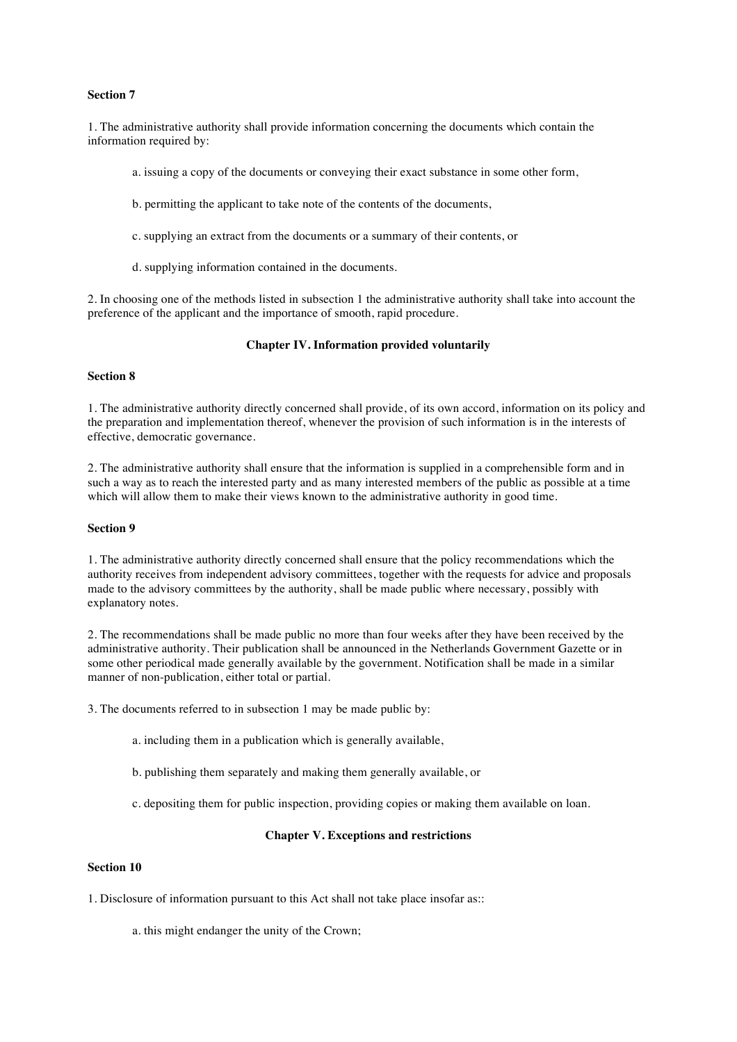## **Section 7**

1. The administrative authority shall provide information concerning the documents which contain the information required by:

- a. issuing a copy of the documents or conveying their exact substance in some other form,
- b. permitting the applicant to take note of the contents of the documents,
- c. supplying an extract from the documents or a summary of their contents, or
- d. supplying information contained in the documents.

2. In choosing one of the methods listed in subsection 1 the administrative authority shall take into account the preference of the applicant and the importance of smooth, rapid procedure.

## **Chapter IV. Information provided voluntarily**

# **Section 8**

1. The administrative authority directly concerned shall provide, of its own accord, information on its policy and the preparation and implementation thereof, whenever the provision of such information is in the interests of effective, democratic governance.

2. The administrative authority shall ensure that the information is supplied in a comprehensible form and in such a way as to reach the interested party and as many interested members of the public as possible at a time which will allow them to make their views known to the administrative authority in good time.

#### **Section 9**

1. The administrative authority directly concerned shall ensure that the policy recommendations which the authority receives from independent advisory committees, together with the requests for advice and proposals made to the advisory committees by the authority, shall be made public where necessary, possibly with explanatory notes.

2. The recommendations shall be made public no more than four weeks after they have been received by the administrative authority. Their publication shall be announced in the Netherlands Government Gazette or in some other periodical made generally available by the government. Notification shall be made in a similar manner of non-publication, either total or partial.

3. The documents referred to in subsection 1 may be made public by:

- a. including them in a publication which is generally available,
- b. publishing them separately and making them generally available, or
- c. depositing them for public inspection, providing copies or making them available on loan.

#### **Chapter V. Exceptions and restrictions**

# **Section 10**

- 1. Disclosure of information pursuant to this Act shall not take place insofar as::
	- a. this might endanger the unity of the Crown;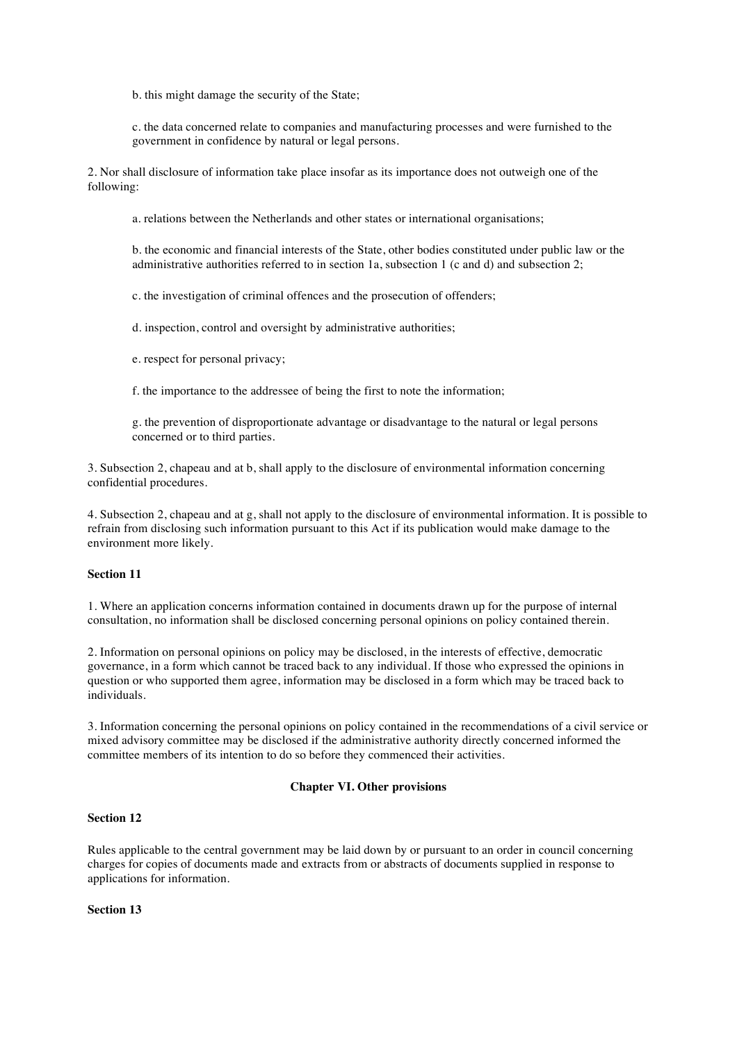b. this might damage the security of the State;

c. the data concerned relate to companies and manufacturing processes and were furnished to the government in confidence by natural or legal persons.

2. Nor shall disclosure of information take place insofar as its importance does not outweigh one of the following:

a. relations between the Netherlands and other states or international organisations;

b. the economic and financial interests of the State, other bodies constituted under public law or the administrative authorities referred to in section 1a, subsection 1 (c and d) and subsection 2;

c. the investigation of criminal offences and the prosecution of offenders;

d. inspection, control and oversight by administrative authorities;

e. respect for personal privacy;

f. the importance to the addressee of being the first to note the information;

g. the prevention of disproportionate advantage or disadvantage to the natural or legal persons concerned or to third parties.

3. Subsection 2, chapeau and at b, shall apply to the disclosure of environmental information concerning confidential procedures.

4. Subsection 2, chapeau and at g, shall not apply to the disclosure of environmental information. It is possible to refrain from disclosing such information pursuant to this Act if its publication would make damage to the environment more likely.

# **Section 11**

1. Where an application concerns information contained in documents drawn up for the purpose of internal consultation, no information shall be disclosed concerning personal opinions on policy contained therein.

2. Information on personal opinions on policy may be disclosed, in the interests of effective, democratic governance, in a form which cannot be traced back to any individual. If those who expressed the opinions in question or who supported them agree, information may be disclosed in a form which may be traced back to individuals.

3. Information concerning the personal opinions on policy contained in the recommendations of a civil service or mixed advisory committee may be disclosed if the administrative authority directly concerned informed the committee members of its intention to do so before they commenced their activities.

### **Chapter VI. Other provisions**

# **Section 12**

Rules applicable to the central government may be laid down by or pursuant to an order in council concerning charges for copies of documents made and extracts from or abstracts of documents supplied in response to applications for information.

**Section 13**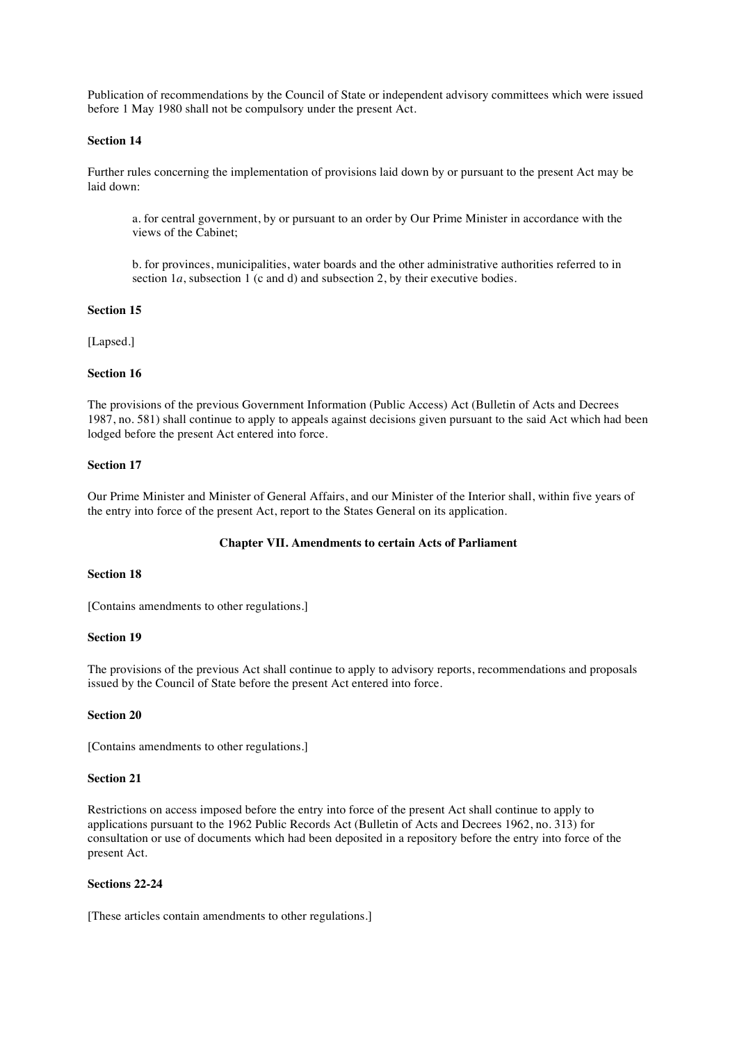Publication of recommendations by the Council of State or independent advisory committees which were issued before 1 May 1980 shall not be compulsory under the present Act.

# **Section 14**

Further rules concerning the implementation of provisions laid down by or pursuant to the present Act may be laid down:

a. for central government, by or pursuant to an order by Our Prime Minister in accordance with the views of the Cabinet;

b. for provinces, municipalities, water boards and the other administrative authorities referred to in section 1*a*, subsection 1 (c and d) and subsection 2, by their executive bodies.

# **Section 15**

[Lapsed.]

# **Section 16**

The provisions of the previous Government Information (Public Access) Act (Bulletin of Acts and Decrees 1987, no. 581) shall continue to apply to appeals against decisions given pursuant to the said Act which had been lodged before the present Act entered into force.

# **Section 17**

Our Prime Minister and Minister of General Affairs, and our Minister of the Interior shall, within five years of the entry into force of the present Act, report to the States General on its application.

#### **Chapter VII. Amendments to certain Acts of Parliament**

#### **Section 18**

[Contains amendments to other regulations.]

## **Section 19**

The provisions of the previous Act shall continue to apply to advisory reports, recommendations and proposals issued by the Council of State before the present Act entered into force.

#### **Section 20**

[Contains amendments to other regulations.]

### **Section 21**

Restrictions on access imposed before the entry into force of the present Act shall continue to apply to applications pursuant to the 1962 Public Records Act (Bulletin of Acts and Decrees 1962, no. 313) for consultation or use of documents which had been deposited in a repository before the entry into force of the present Act.

#### **Sections 22-24**

[These articles contain amendments to other regulations.]